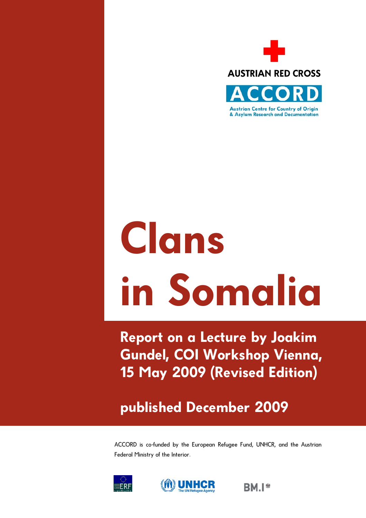

# **Clans in Somalia**

**Report on a Lecture by Joakim Gundel, COI Workshop Vienna, 15 May 2009 (Revised Edition)** 

**published December 2009** 

ACCORD is co-funded by the European Refugee Fund, UNHCR, and the Austrian Federal Ministry of the Interior.





**BMI\***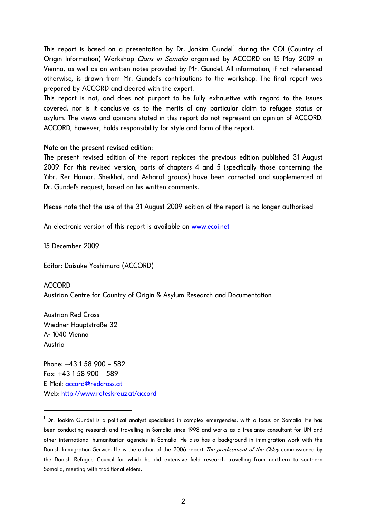This report is based on a presentation by Dr. Joakim Gundel<sup>[1](#page-1-0)</sup> during the COI (Country of Origin Information) Workshop *Clans in Somalia* organised by ACCORD on 15 May 2009 in Vienna, as well as on written notes provided by Mr. Gundel. All information, if not referenced otherwise, is drawn from Mr. Gundel's contributions to the workshop. The final report was prepared by ACCORD and cleared with the expert.

This report is not, and does not purport to be fully exhaustive with regard to the issues covered, nor is it conclusive as to the merits of any particular claim to refugee status or asylum. The views and opinions stated in this report do not represent an opinion of ACCORD. ACCORD, however, holds responsibility for style and form of the report.

## Note on the present revised edition:

The present revised edition of the report replaces the previous edition published 31 August 2009. For this revised version, parts of chapters 4 and 5 (specifically those concerning the Yibr, Rer Hamar, Sheikhal, and Asharaf groups) have been corrected and supplemented at Dr. Gundel's request, based on his written comments.

Please note that the use of the 31 August 2009 edition of the report is no longer authorised.

An electronic version of this report is available on [www.ecoi.net](http://www.ecoi.net/)

15 December 2009

Editor: Daisuke Yoshimura (ACCORD)

ACCORD Austrian Centre for Country of Origin & Asylum Research and Documentation

Austrian Red Cross Wiedner Hauptstraße 32 A- 1040 Vienna Austria

l

Phone: +43 1 58 900 – 582 Fax: +43 1 58 900 – 589 E-Mail: [accord@redcross.at](mailto:accord@redcross.at)  Web: <http://www.roteskreuz.at/accord>

<span id="page-1-0"></span> $^{\rm 1}$  Dr. Joakim Gundel is a political analyst specialised in complex emergencies, with a focus on Somalia. He has been conducting research and travelling in Somalia since 1998 and works as a freelance consultant for UN and other international humanitarian agencies in Somalia. He also has a background in immigration work with the Danish Immigration Service. He is the author of the 2006 report The predicament of the Oday commissioned by the Danish Refugee Council for which he did extensive field research travelling from northern to southern Somalia, meeting with traditional elders.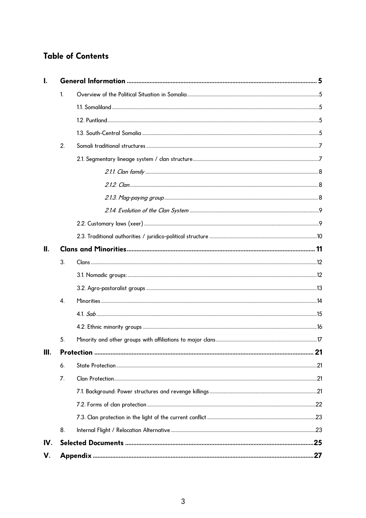# **Table of Contents**

|      | $\mathbf{1}$ |  |  |  |
|------|--------------|--|--|--|
|      |              |  |  |  |
|      |              |  |  |  |
|      |              |  |  |  |
|      | 2.           |  |  |  |
|      |              |  |  |  |
|      |              |  |  |  |
|      |              |  |  |  |
|      |              |  |  |  |
|      |              |  |  |  |
|      |              |  |  |  |
|      |              |  |  |  |
| Ш.   |              |  |  |  |
|      | 3.           |  |  |  |
|      |              |  |  |  |
|      |              |  |  |  |
|      | 4.           |  |  |  |
|      |              |  |  |  |
|      |              |  |  |  |
|      | 5.           |  |  |  |
| III. |              |  |  |  |
|      | 6.           |  |  |  |
|      | 7.           |  |  |  |
|      |              |  |  |  |
|      |              |  |  |  |
|      |              |  |  |  |
|      | 8.           |  |  |  |
| IV.  |              |  |  |  |
| V.   |              |  |  |  |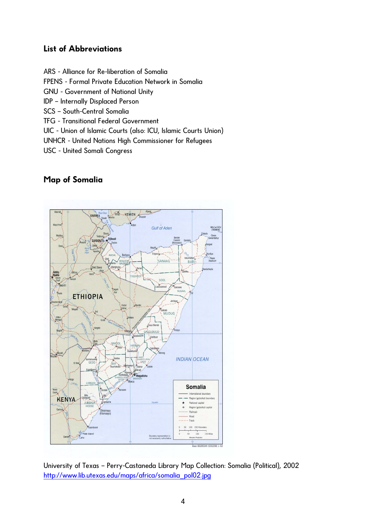# **List of Abbreviations**

ARS - Alliance for Re-liberation of Somalia

FPENS - Formal Private Education Network in Somalia

GNU - Government of National Unity

IDP – Internally Displaced Person

SCS – South-Central Somalia

TFG - Transitional Federal Government

UIC - Union of Islamic Courts (also: ICU, Islamic Courts Union)

UNHCR - United Nations High Commissioner for Refugees

USC - United Somali Congress

# **Map of Somalia**



University of Texas – Perry-Castaneda Library Map Collection: Somalia (Political), 2002 [http://www.lib.utexas.edu/maps/africa/somalia\\_pol02.jpg](http://www.lib.utexas.edu/maps/africa/somalia_pol02.jpg)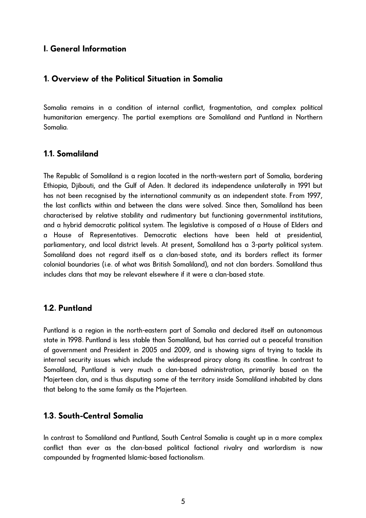## <span id="page-4-0"></span>**I. General Information**

## **1. Overview of the Political Situation in Somalia**

Somalia remains in a condition of internal conflict, fragmentation, and complex political humanitarian emergency. The partial exemptions are Somaliland and Puntland in Northern Somalia.

## **1.1. Somaliland**

The Republic of Somaliland is a region located in the north-western part of Somalia, bordering Ethiopia, Djibouti, and the Gulf of Aden. It declared its independence unilaterally in 1991 but has not been recognised by the international community as an independent state. From 1997, the last conflicts within and between the clans were solved. Since then, Somaliland has been characterised by relative stability and rudimentary but functioning governmental institutions, and a hybrid democratic political system. The legislative is composed of a House of Elders and a House of Representatives. Democratic elections have been held at presidential, parliamentary, and local district levels. At present, Somaliland has a 3-party political system. Somaliland does not regard itself as a clan-based state, and its borders reflect its former colonial boundaries (i.e. of what was British Somaliland), and not clan borders. Somaliland thus includes clans that may be relevant elsewhere if it were a clan-based state.

## **1.2. Puntland**

Puntland is a region in the north-eastern part of Somalia and declared itself an autonomous state in 1998. Puntland is less stable than Somaliland, but has carried out a peaceful transition of government and President in 2005 and 2009, and is showing signs of trying to tackle its internal security issues which include the widespread piracy along its coastline. In contrast to Somaliland, Puntland is very much a clan-based administration, primarily based on the Majerteen clan, and is thus disputing some of the territory inside Somaliland inhabited by clans that belong to the same family as the Majerteen.

## **1.3. South-Central Somalia**

In contrast to Somaliland and Puntland, South Central Somalia is caught up in a more complex conflict than ever as the clan-based political factional rivalry and warlordism is now compounded by fragmented Islamic-based factionalism.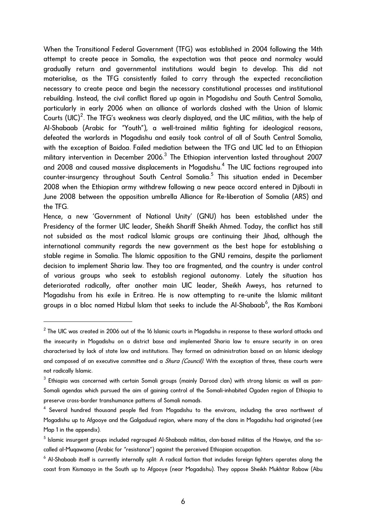When the Transitional Federal Government (TFG) was established in 2004 following the 14th attempt to create peace in Somalia, the expectation was that peace and normalcy would gradually return and governmental institutions would begin to develop. This did not materialise, as the TFG consistently failed to carry through the expected reconciliation necessary to create peace and begin the necessary constitutional processes and institutional rebuilding. Instead, the civil conflict flared up again in Mogadishu and South Central Somalia, particularly in early 2006 when an alliance of warlords clashed with the Union of Islamic Courts (UIC)<sup>[2](#page-5-0)</sup>. The TFG's weakness was clearly displayed, and the UIC militias, with the help of Al-Shabaab (Arabic for "Youth"), a well-trained militia fighting for ideological reasons, defeated the warlords in Mogadishu and easily took control of all of South Central Somalia, with the exception of Baidoa. Failed mediation between the TFG and UIC led to an Ethiopian military intervention in December 2006. $^3$  $^3$  The Ethiopian intervention lasted throughout 2007 and 2008 and caused massive displacements in Mogadishu. $^{\rm 4}$  $^{\rm 4}$  $^{\rm 4}$  The UIC factions regrouped into counter-insurgency throughout South Central Somalia.<sup>[5](#page-5-3)</sup> This situation ended in December 2008 when the Ethiopian army withdrew following a new peace accord entered in Djibouti in June 2008 between the opposition umbrella Alliance for Re-liberation of Somalia (ARS) and the TFG.

Hence, a new 'Government of National Unity' (GNU) has been established under the Presidency of the former UIC leader, Sheikh Shariff Sheikh Ahmed. Today, the conflict has still not subsided as the most radical Islamic groups are continuing their Jihad, although the international community regards the new government as the best hope for establishing a stable regime in Somalia. The Islamic opposition to the GNU remains, despite the parliament decision to implement Sharia law. They too are fragmented, and the country is under control of various groups who seek to establish regional autonomy. Lately the situation has deteriorated radically, after another main UIC leader, Sheikh Aweys, has returned to Mogadishu from his exile in Eritrea. He is now attempting to re-unite the Islamic militant groups in a bloc named Hizbul Islam that seeks to include the Al-Shabaab $^6$  $^6$ , the Ras Kamboni

 $\overline{a}$ 

<span id="page-5-0"></span> $^{\rm 2}$  The UIC was created in 2006 out of the 16 Islamic courts in Mogadishu in response to these warlord attacks and the insecurity in Mogadishu on a district base and implemented Sharia law to ensure security in an area characterised by lack of state law and institutions. They formed an administration based on an Islamic ideology and composed of an executive committee and a *Shura (Council)*. With the exception of three, these courts were not radically Islamic.

<span id="page-5-1"></span> $^3$  Ethiopia was concerned with certain Somali groups (mainly Darood clan) with strong Islamic as well as pan-Somali agendas which pursued the aim of gaining control of the Somali-inhabited Ogaden region of Ethiopia to preserve cross-border transhumance patterns of Somali nomads.

<span id="page-5-2"></span> $^4$  Several hundred thousand people fled from Mogadishu to the environs, including the area northwest of Mogadishu up to Afgooye and the Galgaduud region, where many of the clans in Mogadishu had originated (see Map 1 in the appendix).

<span id="page-5-3"></span> $^{\rm 5}$  Islamic insurgent groups included regrouped Al-Shabaab militias, clan-based militias of the Hawiye, and the socalled al-Muqawama (Arabic for "resistance") against the perceived Ethiopian occupation.

<span id="page-5-4"></span> $^6$  Al-Shabaab itself is currently internally split: A radical faction that includes foreign fighters operates along the coast from Kismaayo in the South up to Afgooye (near Mogadishu). They oppose Sheikh Mukhtar Robow (Abu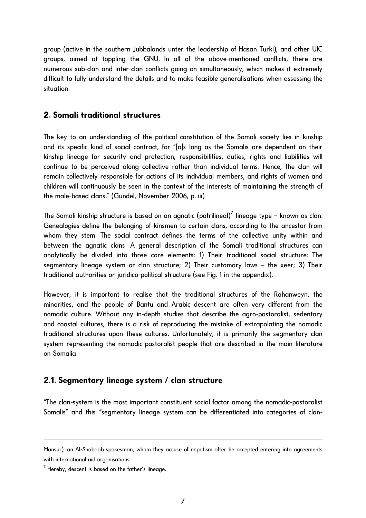<span id="page-6-0"></span>group (active in the southern Jubbalands unter the leadership of Hasan Turki), and other UIC groups, aimed at toppling the GNU. In all of the above-mentioned conflicts, there are numerous sub-clan and inter-clan conflicts going on simultaneously, which makes it extremely difficult to fully understand the details and to make feasible generalisations when assessing the situation.

# **2. Somali traditional structures**

The key to an understanding of the political constitution of the Somali society lies in kinship and its specific kind of social contract, for "[a]s long as the Somalis are dependent on their kinship lineage for security and protection, responsibilities, duties, rights and liabilities will continue to be perceived along collective rather than individual terms. Hence, the clan will remain collectively responsible for actions of its individual members, and rights of women and children will continuously be seen in the context of the interests of maintaining the strength of the male-based clans." (Gundel, November 2006, p. iii)

The Somali kinship structure is based on an agnatic (patrilineal) $^7$  $^7$  lineage type – known as clan. Genealogies define the belonging of kinsmen to certain clans, according to the ancestor from whom they stem. The social contract defines the terms of the collective unity within and between the agnatic clans. A general description of the Somali traditional structures can analytically be divided into three core elements: 1) Their traditional social structure: The segmentary lineage system or clan structure; 2) Their customary laws – the xeer; 3) Their traditional authorities or juridico-political structure (see Fig. 1 in the appendix).

However, it is important to realise that the traditional structures of the Rahanweyn, the minorities, and the people of Bantu and Arabic descent are often very different from the nomadic culture. Without any in-depth studies that describe the agro-pastoralist, sedentary and coastal cultures, there is a risk of reproducing the mistake of extrapolating the nomadic traditional structures upon these cultures. Unfortunately, it is primarily the segmentary clan system representing the nomadic-pastoralist people that are described in the main literature on Somalia.

# **2.1. Segmentary lineage system / clan structure**

"The clan-system is the most important constituent social factor among the nomadic-pastoralist Somalis" and this "segmentary lineage system can be differentiated into categories of clan-

l

Mansur), an Al-Shabaab spokesman, whom they accuse of nepotism after he accepted entering into agreements with international aid organisations.

<span id="page-6-1"></span> $^7$  Hereby, descent is based on the father's lineage.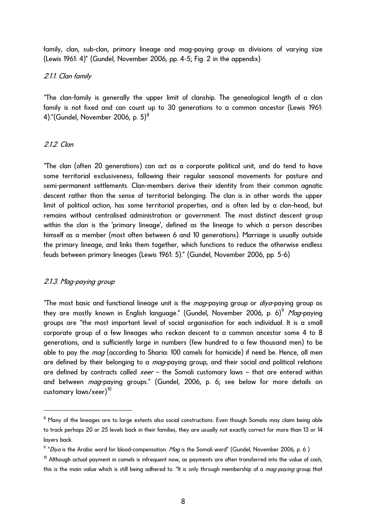<span id="page-7-0"></span>family, clan, sub-clan, primary lineage and mag-paying group as divisions of varying size (Lewis 1961: 4)" (Gundel, November 2006, pp. 4-5; Fig. 2 in the appendix)

#### 2.1.1. Clan family

"The clan-family is generally the upper limit of clanship. The genealogical length of a clan family is not fixed and can count up to 30 generations to a common ancestor (Lewis 1961: 4)."(Gundel, November 2006, p. 5) $^8$  $^8$ 

## 2.1.2. Clan

"The clan (often 20 generations) can act as a corporate political unit, and do tend to have some territorial exclusiveness, following their regular seasonal movements for pasture and semi-permanent settlements. Clan-members derive their identity from their common agnatic descent rather than the sense of territorial belonging. The clan is in other words the upper limit of political action, has some territorial properties, and is often led by a clan-head, but remains without centralised administration or government. The most distinct descent group within the clan is the 'primary lineage', defined as the lineage to which a person describes himself as a member (most often between 6 and 10 generations). Marriage is usually outside the primary lineage, and links them together, which functions to reduce the otherwise endless feuds between primary lineages (Lewis 1961: 5)." (Gundel, November 2006, pp. 5-6)

## 2.1.3. Mag-paying group

l

"The most basic and functional lineage unit is the  $mag$ -paying group or  $\vec{d}$ ya-paying group as they are mostly known in English language." (Gundel, November 2006, p. 6)<sup>[9](#page-7-2)</sup> Mag-paying groups are "the most important level of social organisation for each individual. It is a small corporate group of a few lineages who reckon descent to a common ancestor some 4 to 8 generations, and is sufficiently large in numbers (few hundred to a few thousand men) to be able to pay the *mag* (according to Sharia: 100 camels for homicide) if need be. Hence, all men are defined by their belonging to a *mag*-paying group, and their social and political relations are defined by contracts called *xeer* – the Somali customary laws – that are entered within and between mag-paying groups." (Gundel, 2006, p. 6; see below for more details on customary laws/xeer)<sup>[10](#page-7-3)</sup>

<span id="page-7-1"></span> $^8$  Many of the lineages are to large extents also social constructions. Even though Somalis may claim being able to track perhaps 20 or 25 levels back in their families, they are usually not exactly correct for more than 13 or 14 layers back.

<span id="page-7-2"></span> $^9$  "*Diya* is the Arabic word for blood-compensation. *Mag* is the Somali word" (Gundel, November 2006, p. 6 )

<span id="page-7-3"></span> $10$  Althouah actual payment in camels is infrequent now, as payments are often transferred into the value of cash, this is the main value which is still being adhered to. "It is only through membership of a *mag-paying* group that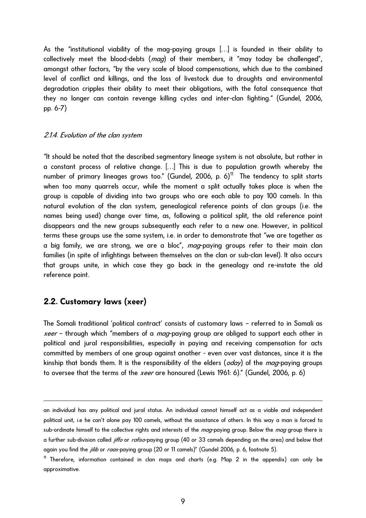<span id="page-8-0"></span>As the "institutional viability of the mag-paying groups […] is founded in their ability to collectively meet the blood-debts (*mag*) of their members, it "may today be challenged", amongst other factors, "by the very scale of blood compensations, which due to the combined level of conflict and killings, and the loss of livestock due to droughts and environmental degradation cripples their ability to meet their obligations, with the fatal consequence that they no longer can contain revenge killing cycles and inter-clan fighting." (Gundel, 2006, pp. 6-7)

#### 2.1.4. Evolution of the clan system

"It should be noted that the described segmentary lineage system is not absolute, but rather in a constant process of relative change. […] This is due to population growth whereby the number of primary lineages grows too." (Gundel, 2006, p. 6) $<sup>11</sup>$  $<sup>11</sup>$  $<sup>11</sup>$  The tendency to split starts</sup> when too many quarrels occur, while the moment a split actually takes place is when the group is capable of dividing into two groups who are each able to pay 100 camels. In this natural evolution of the clan system, genealogical reference points of clan groups (i.e. the names being used) change over time, as, following a political split, the old reference point disappears and the new groups subsequently each refer to a new one. However, in political terms these groups use the same system, i.e. in order to demonstrate that "we are together as a big family, we are strong, we are a bloc", mag-paying groups refer to their main clan families (in spite of infightings between themselves on the clan or sub-clan level). It also occurs that groups unite, in which case they go back in the genealogy and re-instate the old reference point.

## **2.2. Customary laws (xeer)**

l

The Somali traditional 'political contract' consists of customary laws – referred to in Somali as *xeer* – through which "members of a *mag*-paying group are obliged to support each other in political and jural responsibilities, especially in paying and receiving compensation for acts committed by members of one group against another - even over vast distances, since it is the kinship that bonds them. It is the responsibility of the elders (*oday*) of the *mag*-paying groups to oversee that the terms of the *xeer* are honoured (Lewis 1961: 6)." (Gundel, 2006, p. 6)

an individual has any political and jural status. An individual cannot himself act as a viable and independent political unit, i.e he can't alone pay 100 camels, without the assistance of others. In this way a man is forced to sub-ordinate himself to the collective rights and interests of the mag-paying group. Below the mag group there is a further sub-division called jiffo or rafiso-paying group (40 or 33 camels depending on the area) and below that again you find the *jilib* or raas-paying group (20 or 11 camels)" (Gundel 2006, p. 6, footnote 5).

<span id="page-8-1"></span> $11$  Therefore, information contained in clan maps and charts (e.g. Map 2 in the appendix) can only be approximative.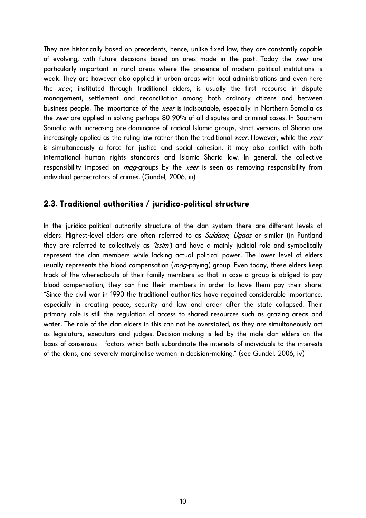<span id="page-9-0"></span>They are historically based on precedents, hence, unlike fixed law, they are constantly capable of evolving, with future decisions based on ones made in the past. Today the *xeer* are particularly important in rural areas where the presence of modern political institutions is weak. They are however also applied in urban areas with local administrations and even here the *xeer*, instituted through traditional elders, is usually the first recourse in dispute management, settlement and reconciliation among both ordinary citizens and between business people. The importance of the *xeer* is indisputable, especially in Northern Somalia as the *xeer* are applied in solving perhaps 80-90% of all disputes and criminal cases. In Southern Somalia with increasing pre-dominance of radical Islamic groups, strict versions of Sharia are increasingly applied as the ruling law rather than the traditional xeer. However, while the xeer is simultaneously a force for justice and social cohesion, it may also conflict with both international human rights standards and Islamic Sharia law. In general, the collective responsibility imposed on *mag*-groups by the *xeer* is seen as removing responsibility from individual perpetrators of crimes. (Gundel, 2006, iii)

## **2.3. Traditional authorities / juridico-political structure**

In the juridico-political authority structure of the clan system there are different levels of elders. Highest-level elders are often referred to as Suldaan, Ugaas or similar (in Puntland they are referred to collectively as *'lssim'*) and have a mainly judicial role and symbolically represent the clan members while lacking actual political power. The lower level of elders usually represents the blood compensation (*mag*-paying) group. Even today, these elders keep track of the whereabouts of their family members so that in case a group is obliged to pay blood compensation, they can find their members in order to have them pay their share. "Since the civil war in 1990 the traditional authorities have regained considerable importance, especially in creating peace, security and law and order after the state collapsed. Their primary role is still the regulation of access to shared resources such as grazing areas and water. The role of the clan elders in this can not be overstated, as they are simultaneously act as legislators, executors and judges. Decision-making is led by the male clan elders on the basis of consensus – factors which both subordinate the interests of individuals to the interests of the clans, and severely marginalise women in decision-making." (see Gundel, 2006, iv)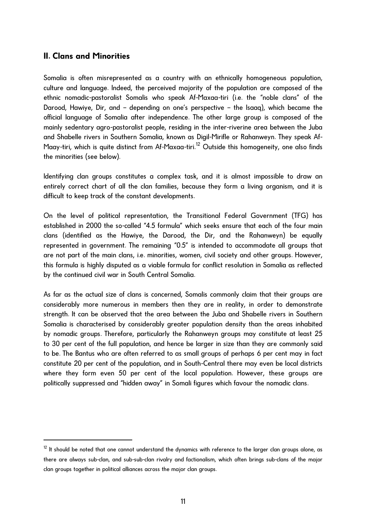# <span id="page-10-0"></span>**II. Clans and Minorities**

l

Somalia is often misrepresented as a country with an ethnically homogeneous population, culture and language. Indeed, the perceived majority of the population are composed of the ethnic nomadic-pastoralist Somalis who speak Af-Maxaa-tiri (i.e. the "noble clans" of the Darood, Hawiye, Dir, and – depending on one's perspective – the Isaaq), which became the official language of Somalia after independence. The other large group is composed of the mainly sedentary agro-pastoralist people, residing in the inter-riverine area between the Juba and Shabelle rivers in Southern Somalia, known as Digil-Mirifle or Rahanweyn. They speak Af-Maay-tiri, which is quite distinct from Af-Maxaa-tiri.<sup>[12](#page-10-1)</sup> Outside this homogeneity, one also finds the minorities (see below).

Identifying clan groups constitutes a complex task, and it is almost impossible to draw an entirely correct chart of all the clan families, because they form a living organism, and it is difficult to keep track of the constant developments.

On the level of political representation, the Transitional Federal Government (TFG) has established in 2000 the so-called "4.5 formula" which seeks ensure that each of the four main clans (identified as the Hawiye, the Darood, the Dir, and the Rahanweyn) be equally represented in government. The remaining "0.5" is intended to accommodate all groups that are not part of the main clans, i.e. minorities, women, civil society and other groups. However, this formula is highly disputed as a viable formula for conflict resolution in Somalia as reflected by the continued civil war in South Central Somalia.

As far as the actual size of clans is concerned, Somalis commonly claim that their groups are considerably more numerous in members then they are in reality, in order to demonstrate strength. It can be observed that the area between the Juba and Shabelle rivers in Southern Somalia is characterised by considerably greater population density than the areas inhabited by nomadic groups. Therefore, particularly the Rahanweyn groups may constitute at least 25 to 30 per cent of the full population, and hence be larger in size than they are commonly said to be. The Bantus who are often referred to as small groups of perhaps 6 per cent may in fact constitute 20 per cent of the population, and in South-Central there may even be local districts where they form even 50 per cent of the local population. However, these groups are politically suppressed and "hidden away" in Somali figures which favour the nomadic clans.

<span id="page-10-1"></span> $12$  It should be noted that one cannot understand the dynamics with reference to the larger clan groups alone, as there are always sub-clan, and sub-sub-clan rivalry and factionalism, which often brings sub-clans of the major clan groups together in political alliances across the major clan groups.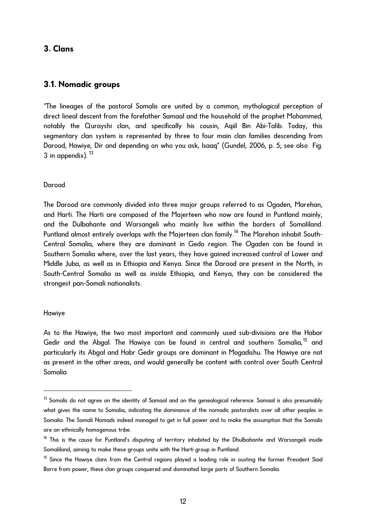# <span id="page-11-0"></span>**3. Clans**

## **3.1. Nomadic groups**

"The lineages of the pastoral Somalis are united by a common, mythological perception of direct lineal descent from the forefather Samaal and the household of the prophet Mohammed, notably the Qurayshi clan, and specifically his cousin, Aqiil Bin Abi-Talib. Today, this segmentary clan system is represented by three to four main clan families descending from Darood, Hawiye, Dir and depending on who you ask, Isaaq" (Gundel, 2006, p. 5; see also Fig. 3 in appendix).  $13$ 

## Darood

The Darood are commonly divided into three major groups referred to as Ogaden, Marehan, and Harti. The Harti are composed of the Majerteen who now are found in Puntland mainly, and the [Dulbahante](http://en.wikipedia.org/wiki/Dhulbahante) and [Warsangeli](http://en.wikipedia.org/wiki/Warsangali) who mainly live within the borders of Somaliland. Puntland almost entirely overlaps with the Majerteen clan family.<sup>[14](#page-11-2)</sup> The Marehan inhabit South-Central Somalia, where they are dominant in Gedo region. The Ogaden can be found in Southern Somalia where, over the last years, they have gained increased control of Lower and Middle Juba, as well as in Ethiopia and Kenya. Since the Darood are present in the North, in South-Central Somalia as well as inside Ethiopia, and Kenya, they can be considered the strongest pan-Somali nationalists.

## Hawiye

 $\overline{a}$ 

As to the Hawiye, the two most important and commonly used sub-divisions are the Habar Gedir and the Abgal. The Hawiye can be found in central and southern Somalia,<sup>15</sup> and particularly its Abgal and Habr Gedir groups are dominant in Mogadishu. The Hawiye are not as present in the other areas, and would generally be content with control over South Central Somalia.

<span id="page-11-1"></span><sup>&</sup>lt;sup>13</sup> Somalis do not agree on the identity of Samaal and on the genealogical reference. Samaal is also presumably what gives the name to Somalia, indicating the dominance of the nomadic pastoralists over all other peoples in Somalia. The Somali Nomads indeed managed to get in full power and to make the assumption that the Somalis are an ethnically homogenous tribe.

<span id="page-11-2"></span><sup>&</sup>lt;sup>14</sup> This is the cause for Puntland's disputing of territory inhabited by the Dhulbahante and Warsangeli inside Somaliland, aiming to make these groups unite with the Harti group in Puntland.

<span id="page-11-3"></span><sup>&</sup>lt;sup>15</sup> Since the Hawiye clans from the Central regions played a leading role in ousting the former President Siad Barre from power, these clan groups conquered and dominated large parts of Southern Somalia.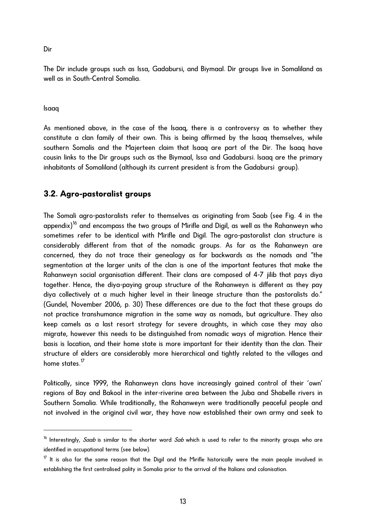<span id="page-12-0"></span>Dir

The Dir include groups such as Issa, Gadabursi, and Biymaal. Dir groups live in Somaliland as well as in South-Central Somalia.

Isaaq

l

As mentioned above, in the case of the Isaaq, there is a controversy as to whether they constitute a clan family of their own. This is being affirmed by the Isaaq themselves, while southern Somalis and the Majerteen claim that Isaaq are part of the Dir. The Isaaq have cousin links to the Dir groups such as the Biymaal, Issa and Gadabursi. Isaaq are the primary inhabitants of Somaliland (although its current president is from the Gadabursi group).

## **3.2. Agro-pastoralist groups**

The Somali agro-pastoralists refer to themselves as originating from Saab (see Fig. 4 in the appendix)<sup>[16](#page-12-1)</sup> and encompass the two groups of Mirifle and Digil, as well as the Rahanweyn who sometimes refer to be identical with Mirifle and Digil. The agro-pastoralist clan structure is considerably different from that of the nomadic groups. As far as the Rahanweyn are concerned, they do not trace their genealogy as far backwards as the nomads and "the segmentation at the larger units of the clan is one of the important features that make the Rahanweyn social organisation different. Their clans are composed of 4-7 jilib that pays diya together. Hence, the diya-paying group structure of the Rahanweyn is different as they pay diya collectively at a much higher level in their lineage structure than the pastoralists do." (Gundel, November 2006, p. 30) These differences are due to the fact that these groups do not practice transhumance migration in the same way as nomads, but agriculture. They also keep camels as a last resort strategy for severe droughts, in which case they may also migrate, however this needs to be distinguished from nomadic ways of migration. Hence their basis is location, and their home state is more important for their identity than the clan. Their structure of elders are considerably more hierarchical and tightly related to the villages and home states.<sup>[17](#page-12-2)</sup>

Politically, since 1999, the Rahanweyn clans have increasingly gained control of their 'own' regions of Bay and Bakool in the inter-riverine area between the Juba and Shabelle rivers in Southern Somalia. While traditionally, the Rahanweyn were traditionally peaceful people and not involved in the original civil war, they have now established their own army and seek to

<span id="page-12-1"></span><sup>&</sup>lt;sup>16</sup> Interestingly, *Saab* is similar to the shorter word *Sab* which is used to refer to the minority groups who are identified in occupational terms (see below).

<span id="page-12-2"></span> $17$  It is also for the same reason that the Digil and the Mirifle historically were the main people involved in establishing the first centralised polity in Somalia prior to the arrival of the Italians and colonisation.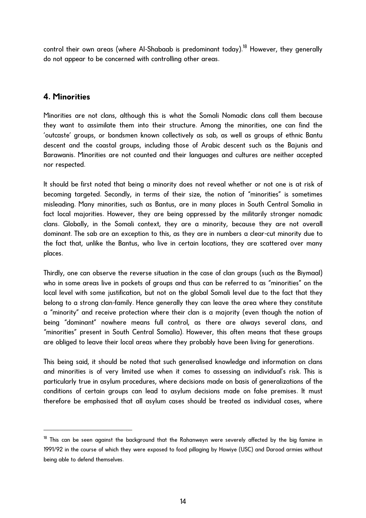<span id="page-13-0"></span>control their own areas (where Al-Shabaab is predominant today).<sup>[18](#page-13-1)</sup> However, they generally do not appear to be concerned with controlling other areas.

# **4. Minorities**

l

Minorities are not clans, although this is what the Somali Nomadic clans call them because they want to assimilate them into their structure. Among the minorities, one can find the 'outcaste' groups, or bondsmen known collectively as sab, as well as groups of ethnic Bantu descent and the coastal groups, including those of Arabic descent such as the Bajunis and Barawanis. Minorities are not counted and their languages and cultures are neither accepted nor respected.

It should be first noted that being a minority does not reveal whether or not one is at risk of becoming targeted. Secondly, in terms of their size, the notion of "minorities" is sometimes misleading. Many minorities, such as Bantus, are in many places in South Central Somalia in fact local majorities. However, they are being oppressed by the militarily stronger nomadic clans. Globally, in the Somali context, they are a minority, because they are not overall dominant. The sab are an exception to this, as they are in numbers a clear-cut minority due to the fact that, unlike the Bantus, who live in certain locations, they are scattered over many places.

Thirdly, one can observe the reverse situation in the case of clan groups (such as the Biymaal) who in some areas live in pockets of groups and thus can be referred to as "minorities" on the local level with some justification, but not on the global Somali level due to the fact that they belong to a strong clan-family. Hence generally they can leave the area where they constitute a "minority" and receive protection where their clan is a majority (even though the notion of being "dominant" nowhere means full control, as there are always several clans, and "minorities" present in South Central Somalia). However, this often means that these groups are obliged to leave their local areas where they probably have been living for generations.

This being said, it should be noted that such generalised knowledge and information on clans and minorities is of very limited use when it comes to assessing an individual's risk. This is particularly true in asylum procedures, where decisions made on basis of generalizations of the conditions of certain groups can lead to asylum decisions made on false premises. It must therefore be emphasised that all asylum cases should be treated as individual cases, where

<span id="page-13-1"></span> $18$  This can be seen against the background that the Rahanweyn were severely affected by the big famine in 1991/92 in the course of which they were exposed to food pillaging by Hawiye (USC) and Darood armies without being able to defend themselves.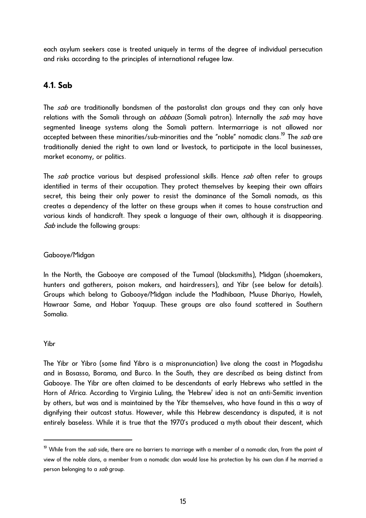<span id="page-14-0"></span>each asylum seekers case is treated uniquely in terms of the degree of individual persecution and risks according to the principles of international refugee law.

# **4.1. Sab**

The sab are traditionally bondsmen of the pastoralist clan groups and they can only have relations with the Somali through an *abbaan* (Somali patron). Internally the sab may have segmented lineage systems along the Somali pattern. Intermarriage is not allowed nor accepted between these minorities/sub-minorities and the "noble" nomadic clans.<sup>[19](#page-14-1)</sup> The *sab* are traditionally denied the right to own land or livestock, to participate in the local businesses, market economy, or politics.

The sab practice various but despised professional skills. Hence sab often refer to groups identified in terms of their occupation. They protect themselves by keeping their own affairs secret, this being their only power to resist the dominance of the Somali nomads, as this creates a dependency of the latter on these groups when it comes to house construction and various kinds of handicraft. They speak a language of their own, although it is disappearing. Sab include the following groups:

## Gabooye/Midgan

In the North, the Gabooye are composed of the Tumaal (blacksmiths), Midgan (shoemakers, hunters and gatherers, poison makers, and hairdressers), and Yibr (see below for details). Groups which belong to Gabooye/Midgan include the Madhibaan, Muuse Dhariyo, Howleh, Hawraar Same, and Habar Yaquup. These groups are also found scattered in Southern Somalia.

## Yibr

l

The Yibr or Yibro (some find Yibro is a mispronunciation) live along the coast in Mogadishu and in Bosasso, Borama, and Burco. In the South, they are described as being distinct from Gabooye. The Yibr are often claimed to be descendants of early Hebrews who settled in the Horn of Africa. According to Virginia Luling, the 'Hebrew' idea is not an anti-Semitic invention by others, but was and is maintained by the Yibr themselves, who have found in this a way of dignifying their outcast status. However, while this Hebrew descendancy is disputed, it is not entirely baseless. While it is true that the 1970's produced a myth about their descent, which

<span id="page-14-1"></span><sup>&</sup>lt;sup>19</sup> While from the *sab* side, there are no barriers to marriage with a member of a nomadic clan, from the point of view of the noble clans, a member from a nomadic clan would lose his protection by his own clan if he married a person belonging to a sab group.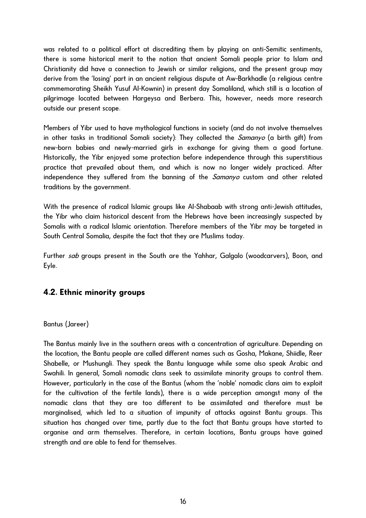<span id="page-15-0"></span>was related to a political effort at discrediting them by playing on anti-Semitic sentiments, there is some historical merit to the notion that ancient Somali people prior to Islam and Christianity did have a connection to Jewish or similar religions, and the present group may derive from the 'losing' part in an ancient religious dispute at Aw-Barkhadle (a religious centre commemorating Sheikh Yusuf Al-Kownin) in present day Somaliland, which still is a location of pilgrimage located between Hargeysa and Berbera. This, however, needs more research outside our present scope.

Members of Yibr used to have mythological functions in society (and do not involve themselves in other tasks in traditional Somali society): They collected the *Samanyo* (a birth gift) from new-born babies and newly-married girls in exchange for giving them a good fortune. Historically, the Yibr enjoyed some protection before independence through this superstitious practice that prevailed about them, and which is now no longer widely practiced. After independence they suffered from the banning of the *Samanyo* custom and other related traditions by the government.

With the presence of radical Islamic groups like Al-Shabaab with strong anti-Jewish attitudes, the Yibr who claim historical descent from the Hebrews have been increasingly suspected by Somalis with a radical Islamic orientation. Therefore members of the Yibr may be targeted in South Central Somalia, despite the fact that they are Muslims today.

Further sab groups present in the South are the Yahhar, Galgalo (woodcarvers), Boon, and Eyle.

# **4.2. Ethnic minority groups**

## Bantus (Jareer)

The Bantus mainly live in the southern areas with a concentration of agriculture. Depending on the location, the Bantu people are called different names such as Gosha, Makane, Shiidle, Reer Shabelle, or Mushungli. They speak the Bantu language while some also speak Arabic and Swahili. In general, Somali nomadic clans seek to assimilate minority groups to control them. However, particularly in the case of the Bantus (whom the 'noble' nomadic clans aim to exploit for the cultivation of the fertile lands), there is a wide perception amongst many of the nomadic clans that they are too different to be assimilated and therefore must be marginalised, which led to a situation of impunity of attacks against Bantu groups. This situation has changed over time, partly due to the fact that Bantu groups have started to organise and arm themselves. Therefore, in certain locations, Bantu groups have gained strength and are able to fend for themselves.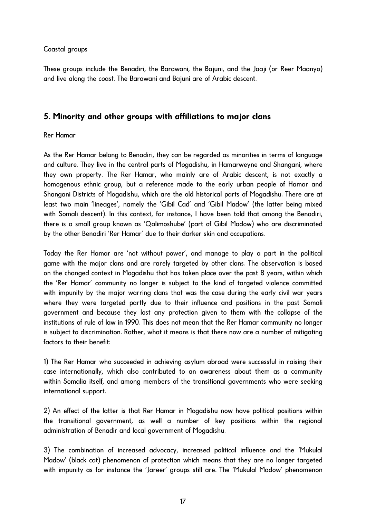## <span id="page-16-0"></span>Coastal groups

These groups include the Benadiri, the Barawani, the Bajuni, and the Jaaji (or Reer Maanyo) and live along the coast. The Barawani and Bajuni are of Arabic descent.

# **5. Minority and other groups with affiliations to major clans**

## Rer Hamar

As the Rer Hamar belong to Benadiri, they can be regarded as minorities in terms of language and culture. They live in the central parts of Mogadishu, in Hamarweyne and Shangani, where they own property. The Rer Hamar, who mainly are of Arabic descent, is not exactly a homogenous ethnic group, but a reference made to the early urban people of Hamar and Shangani Districts of Mogadishu, which are the old historical parts of Mogadishu. There are at least two main 'lineages', namely the 'Gibil Cad' and 'Gibil Madow' (the latter being mixed with Somali descent). In this context, for instance, I have been told that among the Benadiri, there is a small group known as 'Qalimoshube' (part of Gibil Madow) who are discriminated by the other Benadiri 'Rer Hamar' due to their darker skin and occupations.

Today the Rer Hamar are 'not without power', and manage to play a part in the political game with the major clans and are rarely targeted by other clans. The observation is based on the changed context in Mogadishu that has taken place over the past 8 years, within which the 'Rer Hamar' community no longer is subject to the kind of targeted violence committed with impunity by the major warring clans that was the case during the early civil war years where they were targeted partly due to their influence and positions in the past Somali government and because they lost any protection given to them with the collapse of the institutions of rule of law in 1990. This does not mean that the Rer Hamar community no longer is subject to discrimination. Rather, what it means is that there now are a number of mitigating factors to their benefit:

1) The Rer Hamar who succeeded in achieving asylum abroad were successful in raising their case internationally, which also contributed to an awareness about them as a community within Somalia itself, and among members of the transitional governments who were seeking international support.

2) An effect of the latter is that Rer Hamar in Mogadishu now have political positions within the transitional government, as well a number of key positions within the regional administration of Benadir and local government of Mogadishu.

3) The combination of increased advocacy, increased political influence and the 'Mukulal Madow' (black cat) phenomenon of protection which means that they are no longer targeted with impunity as for instance the 'Jareer' groups still are. The 'Mukulal Madow' phenomenon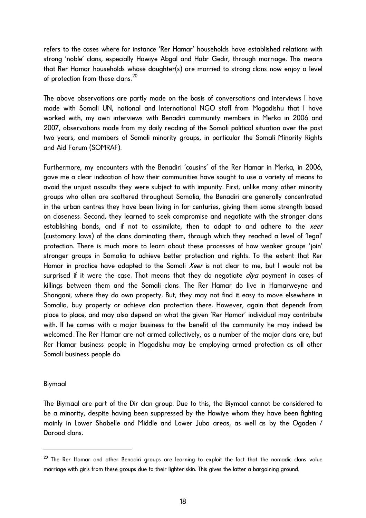refers to the cases where for instance 'Rer Hamar' households have established relations with strong 'noble' clans, especially Hawiye Abgal and Habr Gedir, through marriage. This means that Rer Hamar households whose daughter(s) are married to strong clans now enjoy a level of protection from these clans.[20](#page-17-0)

The above observations are partly made on the basis of conversations and interviews I have made with Somali UN, national and International NGO staff from Mogadishu that I have worked with, my own interviews with Benadiri community members in Merka in 2006 and 2007, observations made from my daily reading of the Somali political situation over the past two years, and members of Somali minority groups, in particular the Somali Minority Rights and Aid Forum (SOMRAF).

Furthermore, my encounters with the Benadiri 'cousins' of the Rer Hamar in Merka, in 2006, gave me a clear indication of how their communities have sought to use a variety of means to avoid the unjust assaults they were subject to with impunity. First, unlike many other minority groups who often are scattered throughout Somalia, the Benadiri are generally concentrated in the urban centres they have been living in for centuries, giving them some strength based on closeness. Second, they learned to seek compromise and negotiate with the stronger clans establishing bonds, and if not to assimilate, then to adapt to and adhere to the xeer (customary laws) of the clans dominating them, through which they reached a level of 'legal' protection. There is much more to learn about these processes of how weaker groups 'join' stronger groups in Somalia to achieve better protection and rights. To the extent that Rer Hamar in practice have adapted to the Somali *Xeer* is not clear to me, but I would not be surprised if it were the case. That means that they do negotiate *diya* payment in cases of killings between them and the Somali clans. The Rer Hamar do live in Hamarweyne and Shangani, where they do own property. But, they may not find it easy to move elsewhere in Somalia, buy property or achieve clan protection there. However, again that depends from place to place, and may also depend on what the given 'Rer Hamar' individual may contribute with. If he comes with a major business to the benefit of the community he may indeed be welcomed. The Rer Hamar are not armed collectively, as a number of the major clans are, but Rer Hamar business people in Mogadishu may be employing armed protection as all other Somali business people do.

#### Biymaal

 $\overline{a}$ 

The Biymaal are part of the Dir clan group. Due to this, the Biymaal cannot be considered to be a minority, despite having been suppressed by the Hawiye whom they have been fighting mainly in Lower Shabelle and Middle and Lower Juba areas, as well as by the Ogaden / Darood clans.

<span id="page-17-0"></span> $^{20}$  The Rer Hamar and other Benadiri groups are learning to exploit the fact that the nomadic clans value marriage with girls from these groups due to their lighter skin. This gives the latter a bargaining ground.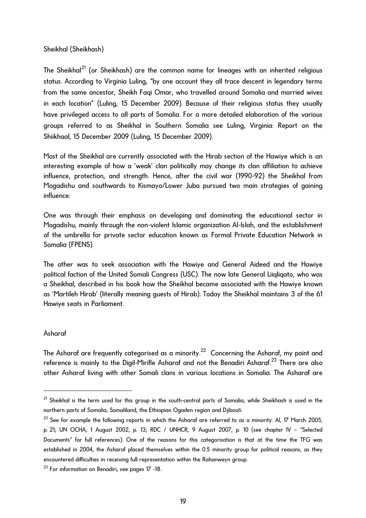## Sheikhal (Sheikhash)

The Sheikhal<sup>[21](#page-18-0)</sup> (or Sheikhash) are the common name for lineages with an inherited religious status. According to Virginia Luling, "by one account they all trace descent in legendary terms from the same ancestor, Sheikh Faqi Omar, who travelled around Somalia and married wives in each location" (Luling, 15 December 2009). Because of their religious status they usually have privileged access to all parts of Somalia. For a more detailed elaboration of the various groups referred to as Sheikhal in Southern Somalia see Luling, Virginia: Report on the Shiikhaal, 15 December 2009 (Luling, 15 December 2009).

Most of the Sheikhal are currently associated with the Hirab section of the Hawiye which is an interesting example of how a 'weak' clan politically may change its clan affiliation to achieve influence, protection, and strength. Hence, after the civil war (1990-92) the Sheikhal from Mogadishu and southwards to Kismayo/Lower Juba pursued two main strategies of gaining influence:

One was through their emphasis on developing and dominating the educational sector in Mogadishu, mainly through the non-violent Islamic organization Al-Islah, and the establishment of the umbrella for private sector education known as Formal Private Education Network in Somalia (FPENS).

The other was to seek association with the Hawiye and General Aideed and the Hawiye political faction of the United Somali Congress (USC). The now late General Liiqliqato, who was a Sheikhal, described in his book how the Sheikhal became associated with the Hawiye known as 'Martileh Hirab' (literally meaning guests of Hirab). Today the Sheikhal maintains 3 of the 61 Hawiye seats in Parliament.

## Asharaf

 $\overline{a}$ 

The Asharaf are frequently categorised as a minority.<sup>[22](#page-18-1)</sup> Concerning the Asharaf, my point and reference is mainly to the Digil-Mirifle Asharaf and not the Benadiri Asharaf.<sup>[23](#page-18-2)</sup> There are also other Asharaf living with other Somali clans in various locations in Somalia. The Asharaf are

<span id="page-18-0"></span> $^{21}$  Sheikhal is the term used for this group in the south-central parts of Somalia, while Sheikhash is used in the northern parts of Somalia, Somaliland, the Ethiopian Ogaden region and Djibouti.

<span id="page-18-1"></span> $^{22}$  See for example the following reports in which the Asharaf are referred to as a minority: AI, 17 March 2005, p. 21; UN OCHA, 1 August 2002, p. 13; RDC / UNHCR, 9 August 2007, p. 10 (see chapter IV – "Selected Documents" for full references). One of the reasons for this categorisation is that at the time the TFG was established in 2004, the Asharaf placed themselves within the 0.5 minority group for political reasons, as they encountered difficulties in receiving full representation within the Rahanweyn group.

<span id="page-18-2"></span> $^{23}$  For information on Benadiri, see pages 17 -18.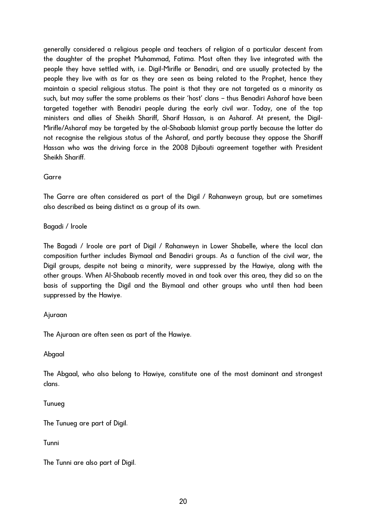generally considered a religious people and teachers of religion of a particular descent from the daughter of the prophet Muhammad, Fatima. Most often they live integrated with the people they have settled with, i.e. Digil-Mirifle or Benadiri, and are usually protected by the people they live with as far as they are seen as being related to the Prophet, hence they maintain a special religious status. The point is that they are not targeted as a minority as such, but may suffer the same problems as their 'host' clans – thus Benadiri Asharaf have been targeted together with Benadiri people during the early civil war. Today, one of the top ministers and allies of Sheikh Shariff, Sharif Hassan, is an Asharaf. At present, the Digil-Mirifle/Asharaf may be targeted by the al-Shabaab Islamist group partly because the latter do not recognise the religious status of the Asharaf, and partly because they oppose the Shariff Hassan who was the driving force in the 2008 Djibouti agreement together with President Sheikh Shariff.

Garre

The Garre are often considered as part of the Digil / Rahanweyn group, but are sometimes also described as being distinct as a group of its own.

Bagadi / Iroole

The Bagadi / Iroole are part of Digil / Rahanweyn in Lower Shabelle, where the local clan composition further includes Biymaal and Benadiri groups. As a function of the civil war, the Digil groups, despite not being a minority, were suppressed by the Hawiye, along with the other groups. When Al-Shabaab recently moved in and took over this area, they did so on the basis of supporting the Digil and the Biymaal and other groups who until then had been suppressed by the Hawiye.

## Ajuraan

The Ajuraan are often seen as part of the Hawiye.

Abgaal

The Abgaal, who also belong to Hawiye, constitute one of the most dominant and strongest clans.

Tunueg

The Tunueg are part of Digil.

Tunni

The Tunni are also part of Digil.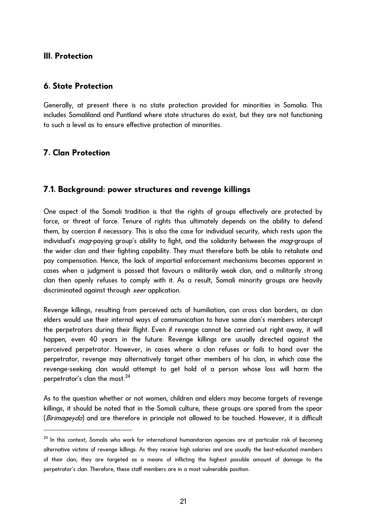# <span id="page-20-0"></span>**III. Protection**

# **6. State Protection**

Generally, at present there is no state protection provided for minorities in Somalia. This includes Somaliland and Puntland where state structures do exist, but they are not functioning to such a level as to ensure effective protection of minorities.

# **7. Clan Protection**

l

# **7.1. Background: power structures and revenge killings**

One aspect of the Somali tradition is that the rights of groups effectively are protected by force, or threat of force. Tenure of rights thus ultimately depends on the ability to defend them, by coercion if necessary. This is also the case for individual security, which rests upon the individual's *mag*-paying group's ability to fight, and the solidarity between the *mag*-groups of the wider clan and their fighting capability. They must therefore both be able to retaliate and pay compensation. Hence, the lack of impartial enforcement mechanisms becomes apparent in cases when a judgment is passed that favours a militarily weak clan, and a militarily strong clan then openly refuses to comply with it. As a result, Somali minority groups are heavily discriminated against through *xeer* application.

Revenge killings, resulting from perceived acts of humiliation, can cross clan borders, as clan elders would use their internal ways of communication to have some clan's members intercept the perpetrators during their flight. Even if revenge cannot be carried out right away, it will happen, even 40 years in the future. Revenge killings are usually directed against the perceived perpetrator. However, in cases where a clan refuses or fails to hand over the perpetrator, revenge may alternatively target other members of his clan, in which case the revenge-seeking clan would attempt to get hold of a person whose loss will harm the perpetrator's clan the most.<sup>[24](#page-20-1)</sup>

As to the question whether or not women, children and elders may become targets of revenge killings, it should be noted that in the Somali culture, these groups are spared from the spear (*Birimageydo*) and are therefore in principle not allowed to be touched. However, it is difficult

<span id="page-20-1"></span><sup>&</sup>lt;sup>24</sup> In this context, Somalis who work for international humanitarian agencies are at particular risk of becoming alternative victims of revenge killings. As they receive high salaries and are usually the best-educated members of their clan, they are targeted as a means of inflicting the highest possible amount of damage to the perpetrator's clan. Therefore, these staff members are in a most vulnerable position.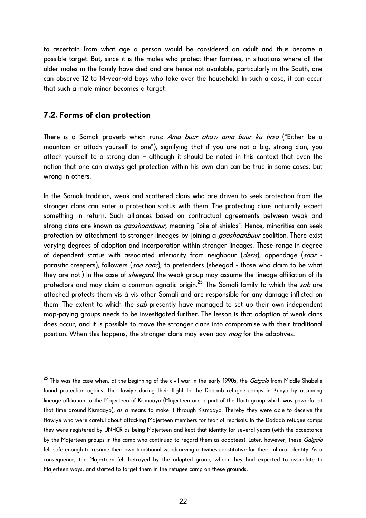<span id="page-21-0"></span>to ascertain from what age a person would be considered an adult and thus become a possible target. But, since it is the males who protect their families, in situations where all the older males in the family have died and are hence not available, particularly in the South, one can observe 12 to 14-year-old boys who take over the household. In such a case, it can occur that such a male minor becomes a target.

## **7.2. Forms of clan protection**

l

There is a Somali proverb which runs: Ama buur ahaw ama buur ku tirso ("Either be a mountain or attach yourself to one"), signifying that if you are not a big, strong clan, you attach yourself to a strong clan – although it should be noted in this context that even the notion that one can always get protection within his own clan can be true in some cases, but wrong in others.

In the Somali tradition, weak and scattered clans who are driven to seek protection from the stronger clans can enter a protection status with them. The protecting clans naturally expect something in return. Such alliances based on contractual agreements between weak and strong clans are known as *gaashaanbuur*, meaning "pile of shields". Hence, minorities can seek protection by attachment to stronger lineages by joining a *gaashaanbuur* coalition. There exist varying degrees of adoption and incorporation within stronger lineages. These range in degree of dependent status with associated inferiority from neighbour (*deris*), appendage (saar parasitic creepers), followers (soo raac), to pretenders (sheegad - those who claim to be what they are not.) In the case of *sheegad*, the weak group may assume the lineage affiliation of its protectors and may claim a common agnatic origin.<sup>[25](#page-21-1)</sup> The Somali family to which the *sab* are attached protects them vis à vis other Somali and are responsible for any damage inflicted on them. The extent to which the sab presently have managed to set up their own independent map-paying groups needs to be investigated further. The lesson is that adoption of weak clans does occur, and it is possible to move the stronger clans into compromise with their traditional position. When this happens, the stronger clans may even pay *mag* for the adoptives.

<span id="page-21-1"></span> $^{25}$  This was the case when, at the beginning of the civil war in the early 1990s, the *Galgalo* from Middle Shabelle found protection against the Hawiye during their flight to the Dadaab refugee camps in Kenya by assuming lineage affiliation to the Majerteen of Kismaayo (Majerteen are a part of the Harti group which was powerful at that time around Kismaayo), as a means to make it through Kismaayo. Thereby they were able to deceive the Hawiye who were careful about attacking Majerteen members for fear of reprisals. In the Dadaab refugee camps they were registered by UNHCR as being Majerteen and kept that identity for several years (with the acceptance by the Majerteen groups in the camp who continued to regard them as adoptees). Later, however, these Galgalo felt safe enough to resume their own traditional woodcarving activities constitutive for their cultural identity. As a consequence, the Majerteen felt betrayed by the adopted group, whom they had expected to assimilate to Majerteen ways, and started to target them in the refugee camp on these grounds.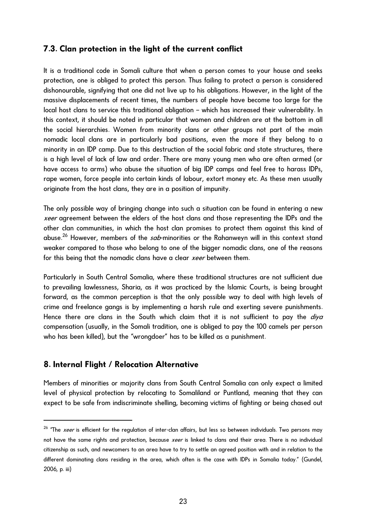# <span id="page-22-0"></span>**7.3. Clan protection in the light of the current conflict**

It is a traditional code in Somali culture that when a person comes to your house and seeks protection, one is obliged to protect this person. Thus failing to protect a person is considered dishonourable, signifying that one did not live up to his obligations. However, in the light of the massive displacements of recent times, the numbers of people have become too large for the local host clans to service this traditional obligation – which has increased their vulnerability. In this context, it should be noted in particular that women and children are at the bottom in all the social hierarchies. Women from minority clans or other groups not part of the main nomadic local clans are in particularly bad positions, even the more if they belong to a minority in an IDP camp. Due to this destruction of the social fabric and state structures, there is a high level of lack of law and order. There are many young men who are often armed (or have access to arms) who abuse the situation of big IDP camps and feel free to harass IDPs, rape women, force people into certain kinds of labour, extort money etc. As these men usually originate from the host clans, they are in a position of impunity.

The only possible way of bringing change into such a situation can be found in entering a new xeer agreement between the elders of the host clans and those representing the IDPs and the other clan communities, in which the host clan promises to protect them against this kind of abuse.<sup>[26](#page-22-1)</sup> However, members of the sab-minorities or the Rahanweyn will in this context stand weaker compared to those who belong to one of the bigger nomadic clans, one of the reasons for this being that the nomadic clans have a clear *xeer* between them.

Particularly in South Central Somalia, where these traditional structures are not sufficient due to prevailing lawlessness, Sharia, as it was practiced by the Islamic Courts, is being brought forward, as the common perception is that the only possible way to deal with high levels of crime and freelance gangs is by implementing a harsh rule and exerting severe punishments. Hence there are clans in the South which claim that it is not sufficient to pay the  $d$ iya compensation (usually, in the Somali tradition, one is obliged to pay the 100 camels per person who has been killed), but the "wrongdoer" has to be killed as a punishment.

## **8. Internal Flight / Relocation Alternative**

 $\overline{a}$ 

Members of minorities or majority clans from South Central Somalia can only expect a limited level of physical protection by relocating to Somaliland or Puntland, meaning that they can expect to be safe from indiscriminate shelling, becoming victims of fighting or being chased out

<span id="page-22-1"></span> $26$  "The *xeer* is efficient for the regulation of inter-clan affairs, but less so between individuals. Two persons may not have the same rights and protection, because *xeer* is linked to clans and their area. There is no individual citizenship as such, and newcomers to an area have to try to settle an agreed position with and in relation to the different dominating clans residing in the area, which often is the case with IDPs in Somalia today." (Gundel, 2006, p. iii)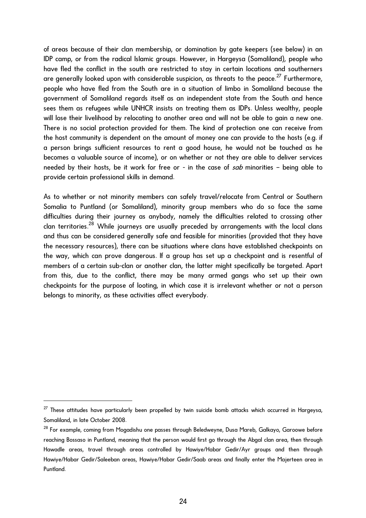of areas because of their clan membership, or domination by gate keepers (see below) in an IDP camp, or from the radical Islamic groups. However, in Hargeysa (Somaliland), people who have fled the conflict in the south are restricted to stay in certain locations and southerners are generally looked upon with considerable suspicion, as threats to the peace.<sup>[27](#page-23-0)</sup> Furthermore, people who have fled from the South are in a situation of limbo in Somaliland because the government of Somaliland regards itself as an independent state from the South and hence sees them as refugees while UNHCR insists on treating them as IDPs. Unless wealthy, people will lose their livelihood by relocating to another area and will not be able to gain a new one. There is no social protection provided for them. The kind of protection one can receive from the host community is dependent on the amount of money one can provide to the hosts (e.g. if a person brings sufficient resources to rent a good house, he would not be touched as he becomes a valuable source of income), or on whether or not they are able to deliver services needed by their hosts, be it work for free or - in the case of sab minorities - being able to provide certain professional skills in demand.

As to whether or not minority members can safely travel/relocate from Central or Southern Somalia to Puntland (or Somaliland), minority group members who do so face the same difficulties during their journey as anybody, namely the difficulties related to crossing other clan territories.[28](#page-23-1) While journeys are usually preceded by arrangements with the local clans and thus can be considered generally safe and feasible for minorities (provided that they have the necessary resources), there can be situations where clans have established checkpoints on the way, which can prove dangerous. If a group has set up a checkpoint and is resentful of members of a certain sub-clan or another clan, the latter might specifically be targeted. Apart from this, due to the conflict, there may be many armed gangs who set up their own checkpoints for the purpose of looting, in which case it is irrelevant whether or not a person belongs to minority, as these activities affect everybody.

l

<span id="page-23-0"></span> $^{27}$  These attitudes have particularly been propelled by twin suicide bomb attacks which occurred in Hargeysa, Somaliland, in late October 2008.

<span id="page-23-1"></span><sup>&</sup>lt;sup>28</sup> For example, coming from Mogadishu one passes through Beledweyne, Dusa Mareb, Galkayo, Garoowe before reaching Bossaso in Puntland, meaning that the person would first go through the Abgal clan area, then through Hawadle areas, travel through areas controlled by Hawiye/Habar Gedir/Ayr groups and then through Hawiye/Habar Gedir/Saleeban areas, Hawiye/Habar Gedir/Saab areas and finally enter the Majerteen area in Puntland.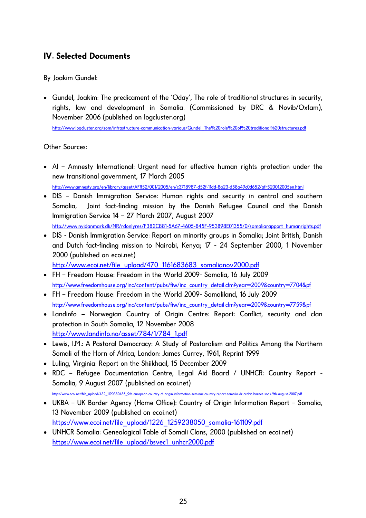# <span id="page-24-0"></span>**IV. Selected Documents**

By Joakim Gundel:

• Gundel, Joakim: The predicament of the 'Oday', The role of traditional structures in security, rights, law and development in Somalia. (Commissioned by DRC & Novib/Oxfam), November 2006 (published on logcluster.org)

[http://www.logcluster.org/som/infrastructure-communication-various/Gundel\\_The%20role%20of%20traditional%20structures.pdf](http://www.logcluster.org/som/infrastructure-communication-various/Gundel_The%20role%20of%20traditional%20structures.pdf)

Other Sources:

• AI – Amnesty International: Urgent need for effective human rights protection under the new transitional government, 17 March 2005

<http://www.amnesty.org/en/library/asset/AFR52/001/2005/en/c3718987-d52f-11dd-8a23-d58a49c0d652/afr520012005en.html>

- DIS Danish Immigration Service: Human rights and security in central and southern Somalia, Joint fact-finding mission by the Danish Refugee Council and the Danish Immigration Service 14 – 27 March 2007, August 2007 [http://www.nyidanmark.dk/NR/rdonlyres/F382C881-5A67-4605-845F-953B98E01355/0/somaliarapport\\_humanrights.pdf](http://www.nyidanmark.dk/NR/rdonlyres/F382C881-5A67-4605-845F-953B98E01355/0/somaliarapport_humanrights.pdf)
- DIS Danish Immigration Service: Report on minority groups in Somalia; Joint British, Danish and Dutch fact-finding mission to Nairobi, Kenya; 17 - 24 September 2000, 1 November 2000 (published on ecoi.net)

http://www.ecoi.net/file\_upload/470\_1161683683\_somalianov2000.pdf

- FH Freedom House: Freedom in the World 2009- Somalia, 16 July 2009 [http://www.freedomhouse.org/inc/content/pubs/fiw/inc\\_country\\_detail.cfm?year=2009&country=7704&pf](http://www.freedomhouse.org/inc/content/pubs/fiw/inc_country_detail.cfm?year=2009&country=7704&pf)
- FH Freedom House: Freedom in the World 2009- Somaliland, 16 July 2009 [http://www.freedomhouse.org/inc/content/pubs/fiw/inc\\_country\\_detail.cfm?year=2009&country=7759&pf](http://www.freedomhouse.org/inc/content/pubs/fiw/inc_country_detail.cfm?year=2009&country=7759&pf)
- Landinfo Norwegian Country of Origin Centre: Report: Conflict, security and clan protection in South Somalia, 12 November 2008 [http://www.landinfo.no/asset/784/1/784\\_1.pdf](http://www.landinfo.no/asset/784/1/784_1.pdf)
- Lewis, I.M.: A Pastoral Democracy: A Study of Pastoralism and Politics Among the Northern Somali of the Horn of Africa, London: James Currey, 1961, Reprint 1999
- Luling, Virginia: Report on the Shiikhaal, 15 December 2009
- RDC Refugee Documentation Centre, Legal Aid Board / UNHCR: Country Report Somalia, 9 August 2007 (published on ecoi.net)

[http://www.ecoi.net/file\\_upload/432\\_1190380485\\_9th-european-country-of-origin-information-seminar-country-report-somalia-dr-cedric-barnes-soas-9th-august-2007.pdf](http://www.ecoi.net/file_upload/432_1190380485_9th-european-country-of-origin-information-seminar-country-report-somalia-dr-cedric-barnes-soas-)

- UKBA UK Border Agency (Home Office): Country of Origin Information Report Somalia, 13 November 2009 (published on ecoi.net) https://www.ecoi.net/file\_upload/1226\_1259238050\_somalia-161109.pdf
- UNHCR Somalia: Genealogical Table of Somali Clans, 2000 (published on ecoi.net) [https://www.ecoi.net/file\\_upload/bsvec1\\_unhcr2000.pdf](https://www.ecoi.net/file_upload/bsvec1_unhcr2000.pdf)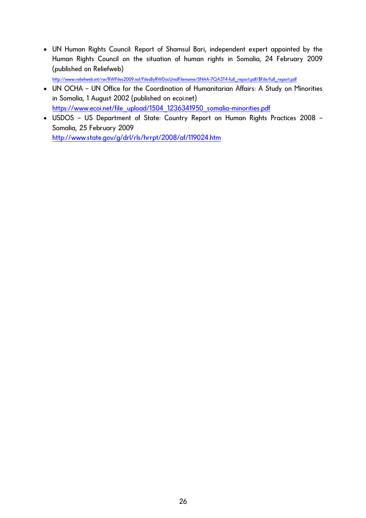• UN Human Rights Council: Report of Shamsul Bari, independent expert appointed by the Human Rights Council on the situation of human rights in Somalia, 24 February 2009 (published on Reliefweb)

[http://www.reliefweb.int/rw/RWFiles2009.nsf/FilesByRWDocUnidFilename/SNAA-7QA3T4-full\\_report.pdf/\\$File/full\\_report.pdf](http://www.reliefweb.int/rw/RWFiles2009.nsf/FilesByRWDocUnidFilename/SNAA-7QA3T4-full_report.pdf/$File/full_report.pdf)

- UN OCHA UN Office for the Coordination of Humanitarian Affairs: A Study on Minorities in Somalia, 1 August 2002 (published on ecoi.net) [https://www.ecoi.net/file\\_upload/1504\\_1236341950\\_somalia-minorities.pdf](https://www.ecoi.net/file_upload/1504_1236341950_somalia-minorities.pdf)
- USDOS US Department of State: Country Report on Human Rights Practices 2008 Somalia, 25 February 2009

<http://www.state.gov/g/drl/rls/hrrpt/2008/af/119024.htm>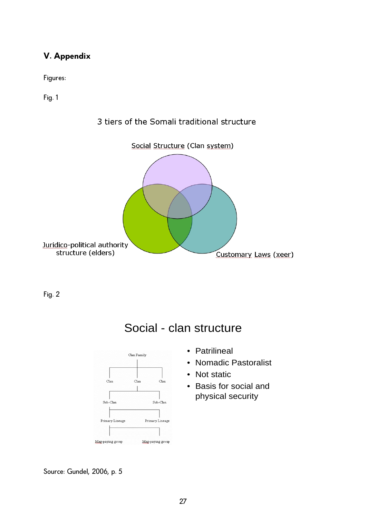# <span id="page-26-0"></span>**V. Appendix**

Figures:

Fig. 1



3 tiers of the Somali traditional structure

Fig. 2



- Social clan structure
	- Patrilineal
	- Nomadic Pastoralist
	- Not static
	- Basis for social and physical security

Source: Gundel, 2006, p. 5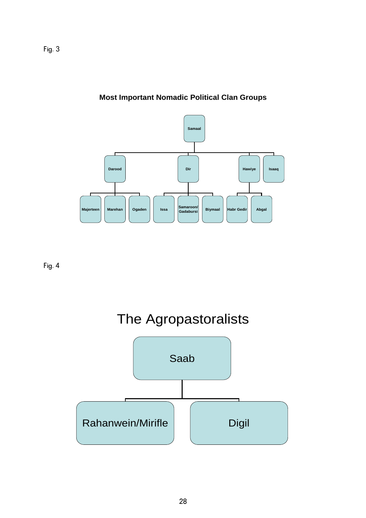

# **Most Important Nomadic Political Clan Groups**

Fig. 4

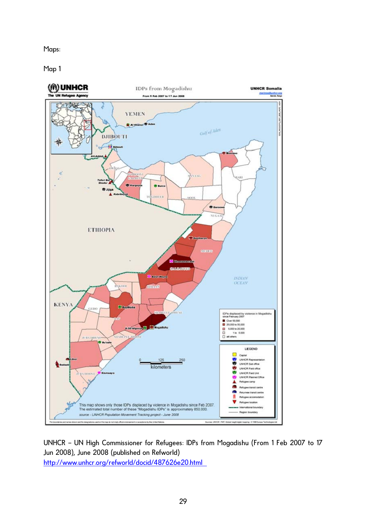Maps:

Map 1



UNHCR – UN High Commissioner for Refugees: IDPs from Mogadishu (From 1 Feb 2007 to 17 Jun 2008), June 2008 (published on Refworld) <http://www.unhcr.org/refworld/docid/487626e20.html>